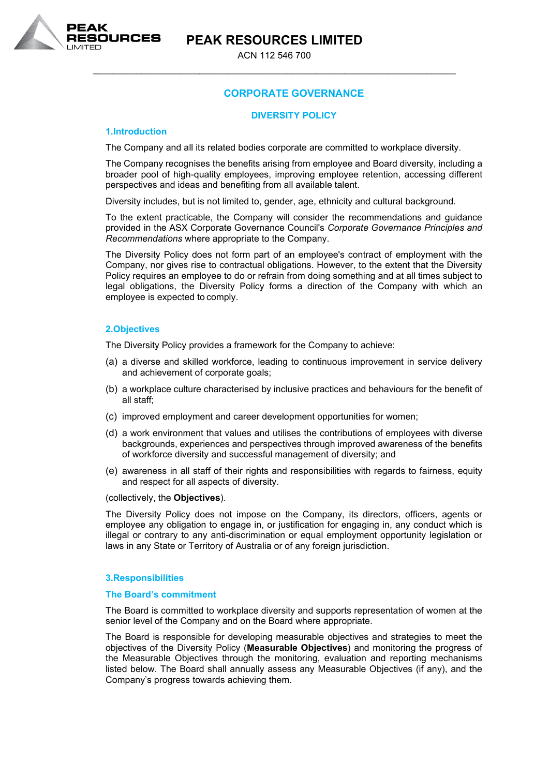**PEAK RESOURCES LIMITED**



ACN 112 546 700 \_\_\_\_\_\_\_\_\_\_\_\_\_\_\_\_\_\_\_\_\_\_\_\_\_\_\_\_\_\_\_\_\_\_\_\_\_\_\_\_\_\_\_\_\_\_\_\_\_\_\_\_\_\_\_\_\_\_\_\_\_\_\_\_\_\_\_\_\_\_\_\_\_\_\_

# **CORPORATE GOVERNANCE**

## **DIVERSITY POLICY**

## **1.Introduction**

The Company and all its related bodies corporate are committed to workplace diversity.

The Company recognises the benefits arising from employee and Board diversity, including a broader pool of high-quality employees, improving employee retention, accessing different perspectives and ideas and benefiting from all available talent.

Diversity includes, but is not limited to, gender, age, ethnicity and cultural background.

To the extent practicable, the Company will consider the recommendations and guidance provided in the ASX Corporate Governance Council's *Corporate Governance Principles and Recommendations* where appropriate to the Company.

The Diversity Policy does not form part of an employee's contract of employment with the Company, nor gives rise to contractual obligations. However, to the extent that the Diversity Policy requires an employee to do or refrain from doing something and at all times subject to legal obligations, the Diversity Policy forms a direction of the Company with which an employee is expected to comply.

# **2.Objectives**

The Diversity Policy provides a framework for the Company to achieve:

- (a) a diverse and skilled workforce, leading to continuous improvement in service delivery and achievement of corporate goals;
- (b) a workplace culture characterised by inclusive practices and behaviours for the benefit of all staff;
- (c) improved employment and career development opportunities for women;
- (d) a work environment that values and utilises the contributions of employees with diverse backgrounds, experiences and perspectives through improved awareness of the benefits of workforce diversity and successful management of diversity; and
- (e) awareness in all staff of their rights and responsibilities with regards to fairness, equity and respect for all aspects of diversity.

(collectively, the **Objectives**).

The Diversity Policy does not impose on the Company, its directors, officers, agents or employee any obligation to engage in, or justification for engaging in, any conduct which is illegal or contrary to any anti-discrimination or equal employment opportunity legislation or laws in any State or Territory of Australia or of any foreign jurisdiction.

#### **3.Responsibilities**

#### **The Board's commitment**

The Board is committed to workplace diversity and supports representation of women at the senior level of the Company and on the Board where appropriate.

The Board is responsible for developing measurable objectives and strategies to meet the objectives of the Diversity Policy (**Measurable Objectives**) and monitoring the progress of the Measurable Objectives through the monitoring, evaluation and reporting mechanisms listed below. The Board shall annually assess any Measurable Objectives (if any), and the Company's progress towards achieving them.